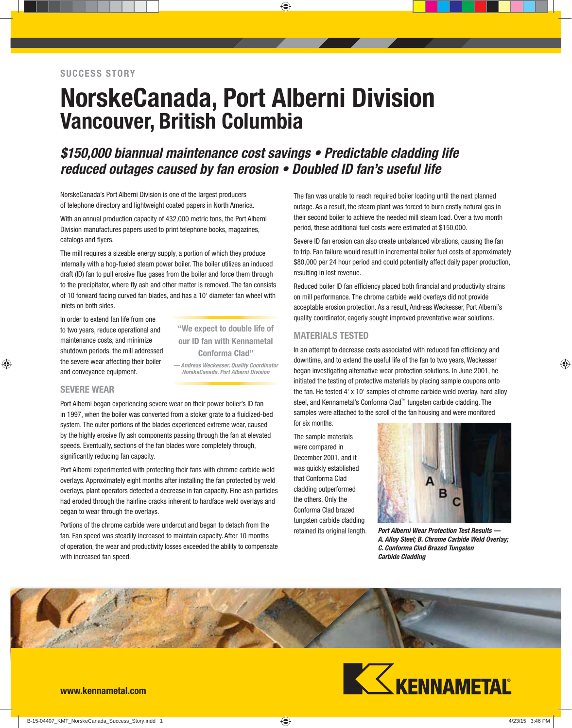# **NorskeCanada, Port Alberni Division Vancouver, British Columbia**

# *\$150,000 biannual maintenance cost savings • Predictable cladding life reduced outages caused by fan erosion • Doubled ID fan's useful life*

NorskeCanada's Port Alberni Division is one of the largest producers of telephone directory and lightweight coated papers in North America.

With an annual production capacity of 432,000 metric tons, the Port Alberni Division manufactures papers used to print telephone books, magazines, catalogs and flyers.

The mill requires a sizeable energy supply, a portion of which they produce internally with a hog-fueled steam power boiler. The boiler utilizes an induced draft (ID) fan to pull erosive flue gases from the boiler and force them through to the precipitator, where fly ash and other matter is removed. The fan consists of 10 forward facing curved fan blades, and has a 10' diameter fan wheel with inlets on both sides.

In order to extend fan life from one to two years, reduce operational and maintenance costs, and minimize shutdown periods, the mill addressed the severe wear affecting their boiler and conveyance equipment.

*— Andreas Weckesser, Quality Coordinator NorskeCanada, Port Alberni Division* **"We expect to double life of our ID fan with Kennametal Conforma Clad"**

# **SEVERE WEAR**

Port Alberni began experiencing severe wear on their power boiler's ID fan in 1997, when the boiler was converted from a stoker grate to a fluidized-bed system. The outer portions of the blades experienced extreme wear, caused by the highly erosive fly ash components passing through the fan at elevated speeds. Eventually, sections of the fan blades wore completely through, significantly reducing fan capacity.

Port Alberni experimented with protecting their fans with chrome carbide weld overlays. Approximately eight months after installing the fan protected by weld overlays, plant operators detected a decrease in fan capacity. Fine ash particles had eroded through the hairline cracks inherent to hardface weld overlays and began to wear through the overlays.

Portions of the chrome carbide were undercut and began to detach from the fan. Fan speed was steadily increased to maintain capacity. After 10 months of operation, the wear and productivity losses exceeded the ability to compensate with increased fan speed.

The fan was unable to reach required boiler loading until the next planned outage. As a result, the steam plant was forced to burn costly natural gas in their second boiler to achieve the needed mill steam load. Over a two month period, these additional fuel costs were estimated at \$150,000.

Severe ID fan erosion can also create unbalanced vibrations, causing the fan to trip. Fan failure would result in incremental boiler fuel costs of approximately \$80,000 per 24 hour period and could potentially affect daily paper production, resulting in lost revenue.

Reduced boiler ID fan efficiency placed both financial and productivity strains on mill performance. The chrome carbide weld overlays did not provide acceptable erosion protection. As a result, Andreas Weckesser, Port Alberni's quality coordinator, eagerly sought improved preventative wear solutions.

#### **MATERIALS TESTED**

In an attempt to decrease costs associated with reduced fan efficiency and downtime, and to extend the useful life of the fan to two years, Weckesser began investigating alternative wear protection solutions. In June 2001, he initiated the testing of protective materials by placing sample coupons onto the fan. He tested 4' x 10' samples of chrome carbide weld overlay, hard alloy steel, and Kennametal's Conforma Clad™ tungsten carbide cladding. The samples were attached to the scroll of the fan housing and were monitored

for six months.

The sample materials were compared in December 2001, and it was quickly established that Conforma Clad cladding outperformed the others. Only the Conforma Clad brazed tungsten carbide cladding



retained its original length. *Port Alberni Wear Protection Test Results — A. Alloy Steel; B. Chrome Carbide Weld Overlay; C. Conforma Clad Brazed Tungsten Carbide Cladding*